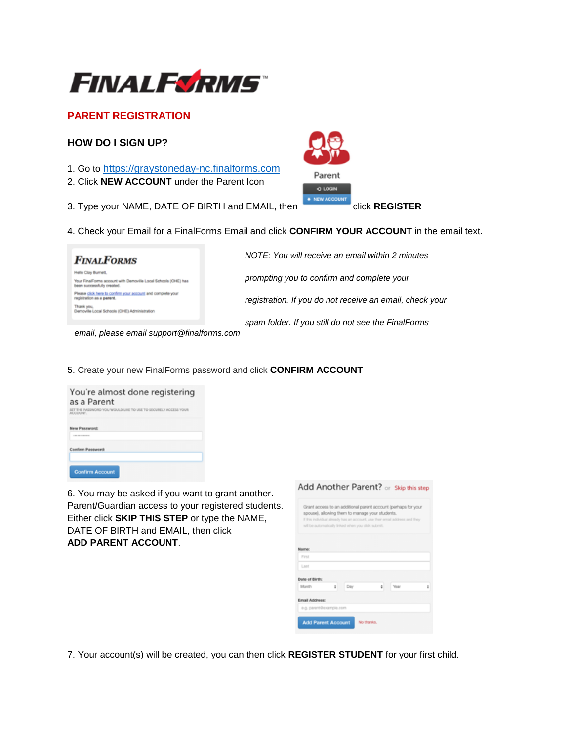

# **PARENT REGISTRATION**

## **HOW DO I SIGN UP?**

- 1. Go to [https://graystoneday-nc.finalforms.com](https://graystoneday-nc.finalforms.com/)
- 2. Click **NEW ACCOUNT** under the Parent Icon
- 3. Type your NAME, DATE OF BIRTH and EMAIL, then click **REGISTER**



## 4. Check your Email for a FinalForms Email and click **CONFIRM YOUR ACCOUNT** in the email text.

| <b>FINALFORMS</b>                                                                        | NOTE: You will receive an email within 2 minutes         |
|------------------------------------------------------------------------------------------|----------------------------------------------------------|
| <b>To Clay Burnett</b>                                                                   |                                                          |
| Your FinalForms account with Demoville Local Schools (OHE) has<br>bahaso yliuteascus nea | prompting you to confirm and complete your               |
| Please click here to confirm your account and complete your<br>jstration as a parent.    | registration. If you do not receive an email, check your |
| Demovile Local Schools (OHE) Administration                                              |                                                          |
|                                                                                          | spam folder. If you still do not see the FinalForms      |

 *email, please email support@finalforms.com*

5. Create your new FinalForms password and click **CONFIRM ACCOUNT** 

| You're almost done registering<br>as a Parent<br>SET THE PASSWORD YOU WOULD LIKE TO USE TO SECURELY ACCESS YOUR<br>ACCOUNT. |  |  |
|-----------------------------------------------------------------------------------------------------------------------------|--|--|
| New Password:<br><b><i><u>A R R R R R R R PORT OF THE SAME AND RESIDENTS.</u></i></b>                                       |  |  |
| Confirm Password:                                                                                                           |  |  |
| <b>Confirm Account</b>                                                                                                      |  |  |

6. You may be asked if you want to grant another. Parent/Guardian access to your registered students. Either click **SKIP THIS STEP** or type the NAME, DATE OF BIRTH and EMAIL, then click **ADD PARENT ACCOUNT**.

|                |                         | Grant access to an additional parent account (perhaps for your<br>spouse), allowing them to manage your students.<br>If this individual already has an account, use their email address and they<br>will be automatically linked when you click submit. |   |      |   |
|----------------|-------------------------|---------------------------------------------------------------------------------------------------------------------------------------------------------------------------------------------------------------------------------------------------------|---|------|---|
| Name:          |                         |                                                                                                                                                                                                                                                         |   |      |   |
| First          |                         |                                                                                                                                                                                                                                                         |   |      |   |
| Last           |                         |                                                                                                                                                                                                                                                         |   |      |   |
| Date of Birth: |                         |                                                                                                                                                                                                                                                         |   |      |   |
| Month          | ÷                       | Day                                                                                                                                                                                                                                                     | ÷ | Year | t |
| Email Address: |                         |                                                                                                                                                                                                                                                         |   |      |   |
|                | e.g. parent@example.com |                                                                                                                                                                                                                                                         |   |      |   |

7. Your account(s) will be created, you can then click **REGISTER STUDENT** for your first child.